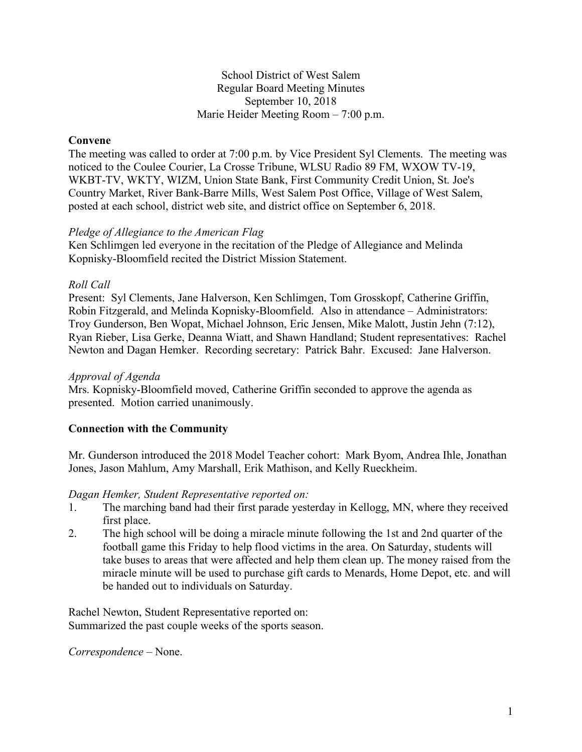#### School District of West Salem Regular Board Meeting Minutes September 10, 2018 Marie Heider Meeting Room – 7:00 p.m.

### **Convene**

The meeting was called to order at 7:00 p.m. by Vice President Syl Clements. The meeting was noticed to the Coulee Courier, La Crosse Tribune, WLSU Radio 89 FM, WXOW TV-19, WKBT-TV, WKTY, WIZM, Union State Bank, First Community Credit Union, St. Joe's Country Market, River Bank-Barre Mills, West Salem Post Office, Village of West Salem, posted at each school, district web site, and district office on September 6, 2018.

#### *Pledge of Allegiance to the American Flag*

Ken Schlimgen led everyone in the recitation of the Pledge of Allegiance and Melinda Kopnisky-Bloomfield recited the District Mission Statement.

### *Roll Call*

Present: Syl Clements, Jane Halverson, Ken Schlimgen, Tom Grosskopf, Catherine Griffin, Robin Fitzgerald, and Melinda Kopnisky-Bloomfield. Also in attendance – Administrators: Troy Gunderson, Ben Wopat, Michael Johnson, Eric Jensen, Mike Malott, Justin Jehn (7:12), Ryan Rieber, Lisa Gerke, Deanna Wiatt, and Shawn Handland; Student representatives: Rachel Newton and Dagan Hemker. Recording secretary: Patrick Bahr. Excused: Jane Halverson.

#### *Approval of Agenda*

Mrs. Kopnisky-Bloomfield moved, Catherine Griffin seconded to approve the agenda as presented. Motion carried unanimously.

## **Connection with the Community**

Mr. Gunderson introduced the 2018 Model Teacher cohort: Mark Byom, Andrea Ihle, Jonathan Jones, Jason Mahlum, Amy Marshall, Erik Mathison, and Kelly Rueckheim.

#### *Dagan Hemker, Student Representative reported on:*

- 1. The marching band had their first parade yesterday in Kellogg, MN, where they received first place.
- 2. The high school will be doing a miracle minute following the 1st and 2nd quarter of the football game this Friday to help flood victims in the area. On Saturday, students will take buses to areas that were affected and help them clean up. The money raised from the miracle minute will be used to purchase gift cards to Menards, Home Depot, etc. and will be handed out to individuals on Saturday.

Rachel Newton, Student Representative reported on: Summarized the past couple weeks of the sports season.

*Correspondence* – None.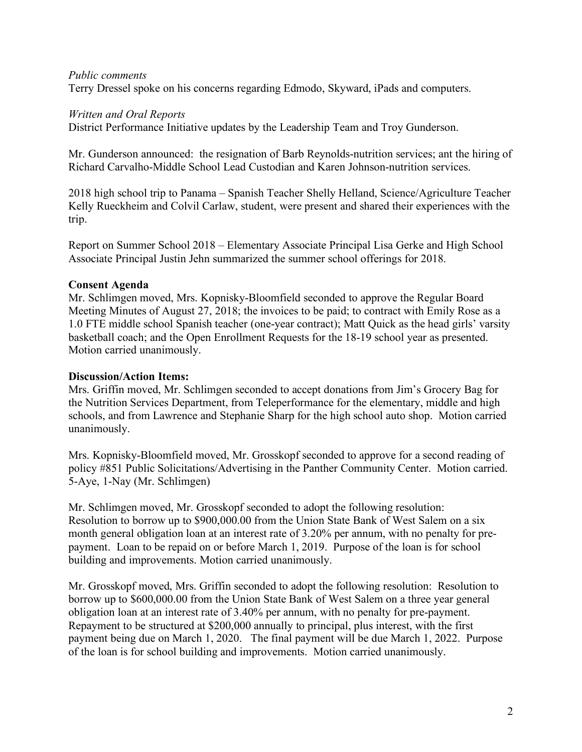#### *Public comments*

Terry Dressel spoke on his concerns regarding Edmodo, Skyward, iPads and computers.

#### *Written and Oral Reports*

District Performance Initiative updates by the Leadership Team and Troy Gunderson.

Mr. Gunderson announced: the resignation of Barb Reynolds-nutrition services; ant the hiring of Richard Carvalho-Middle School Lead Custodian and Karen Johnson-nutrition services.

2018 high school trip to Panama – Spanish Teacher Shelly Helland, Science/Agriculture Teacher Kelly Rueckheim and Colvil Carlaw, student, were present and shared their experiences with the trip.

Report on Summer School 2018 – Elementary Associate Principal Lisa Gerke and High School Associate Principal Justin Jehn summarized the summer school offerings for 2018.

### **Consent Agenda**

Mr. Schlimgen moved, Mrs. Kopnisky-Bloomfield seconded to approve the Regular Board Meeting Minutes of August 27, 2018; the invoices to be paid; to contract with Emily Rose as a 1.0 FTE middle school Spanish teacher (one-year contract); Matt Quick as the head girls' varsity basketball coach; and the Open Enrollment Requests for the 18-19 school year as presented. Motion carried unanimously.

#### **Discussion/Action Items:**

Mrs. Griffin moved, Mr. Schlimgen seconded to accept donations from Jim's Grocery Bag for the Nutrition Services Department, from Teleperformance for the elementary, middle and high schools, and from Lawrence and Stephanie Sharp for the high school auto shop. Motion carried unanimously.

Mrs. Kopnisky-Bloomfield moved, Mr. Grosskopf seconded to approve for a second reading of policy #851 Public Solicitations/Advertising in the Panther Community Center. Motion carried. 5-Aye, 1-Nay (Mr. Schlimgen)

Mr. Schlimgen moved, Mr. Grosskopf seconded to adopt the following resolution: Resolution to borrow up to \$900,000.00 from the Union State Bank of West Salem on a six month general obligation loan at an interest rate of 3.20% per annum, with no penalty for prepayment. Loan to be repaid on or before March 1, 2019. Purpose of the loan is for school building and improvements. Motion carried unanimously.

Mr. Grosskopf moved, Mrs. Griffin seconded to adopt the following resolution: Resolution to borrow up to \$600,000.00 from the Union State Bank of West Salem on a three year general obligation loan at an interest rate of 3.40% per annum, with no penalty for pre-payment. Repayment to be structured at \$200,000 annually to principal, plus interest, with the first payment being due on March 1, 2020. The final payment will be due March 1, 2022. Purpose of the loan is for school building and improvements. Motion carried unanimously.